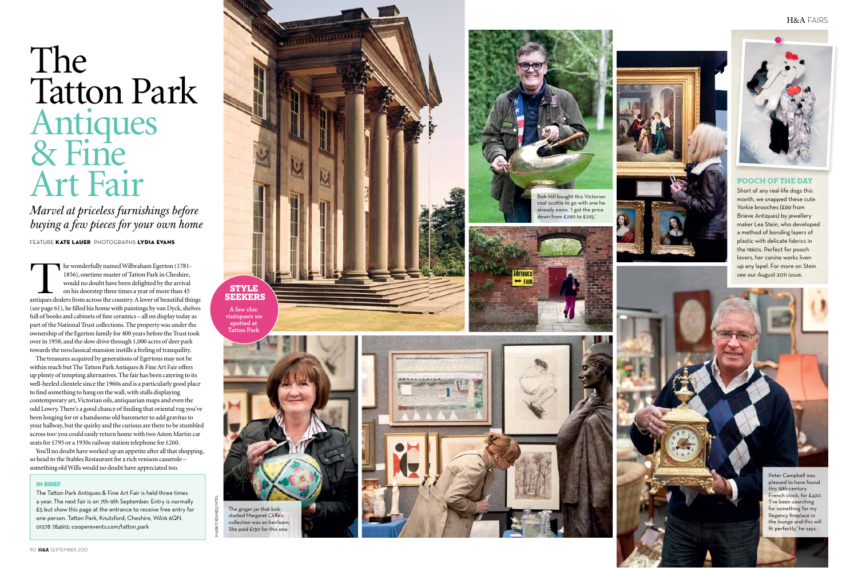# The **Tatton Park** Antiques<br>& Fine Art Fair

Marvel at priceless furnishings before buying a few pieces for your own home

FEATURE KATE LAUER PHOTOGRAPHS LYDIA EVANS

he wonderfully named Wilbraham Egerton (1781-1856), onetime master of Tatton Park in Cheshire. would no doubt have been delighted by the arrival on his doorstep three times a year of more than 45 antiques dealers from across the country. A lover of beautiful things (see page  $61$ ), he filled his home with paintings by van Dyck, shelves full of books and cabinets of fine ceramics - all on display today as part of the National Trust collections. The property was under the ownership of the Egerton family for 400 years before the Trust took over in 1958, and the slow drive through 1,000 acres of deer park towards the neoclassical mansion instills a feeling of tranquility.

The treasures acquired by generations of Egertons may not be within reach but The Tatton Park Antiques & Fine Art Fair offers up plenty of tempting alternatives. The fair has been catering to its well-heeled clientele since the 1960s and is a particularly good place to find something to hang on the wall, with stalls displaying contemporary art, Victorian oils, antiquarian maps and even the odd Lowry. There's a good chance of finding that oriental rug you've been longing for or a handsome old barometer to add gravitas to your hallway, but the quirky and the curious are there to be stumbled across too: you could easily return home with two Aston Martin car seats for £795 or a 1930s railway station telephone for £260.

You'll no doubt have worked up an appetite after all that shopping, so head to the Stables Restaurant for a rich venison casserolesomething old Wills would no doubt have appreciated too.

#### IN RDIFF

The Tatton Park Antiques & Fine Art Fair is held three times a vear. The next fair is on 7th-9th September. Entry is normally £5 but show this page at the entrance to receive free entry for one person. Tatton Park. Knutsford. Cheshire. WA16 6QN. 01278 784912: cooperevents.com/tatton park



spotted at<br>Tatton Park

The ginger jar that kick-

started Margaret Cliffe's

collection was an heirloom.

She paid £130 for this one.



#### H&A FAIRS



Bob Hill bought this Victorian

coal scuttle to go with one he

already owns. 'I got the price down from £290 to £225.'

**MITTALIES** 

 $\rightarrow$  FAIR



#### **POOCH OF THE DAY**

Short of any real-life dogs this month, we snapped these cute Yorkie brooches (£69 from **Brieve Antiques) by jewellery** maker Lea Stein, who developed a method of bonding layers of plastic with delicate fabrics in the 1960s. Perfect for pooch lovers, her canine works liven up any lapel. For more on Stein see our August 2011 issue.

> Peter Campbell was pleased to have found this 19th-century French clock, for £420. 'I've been searching for something for my Regency fireplace in the lounge and this will fit perfectly,' he says.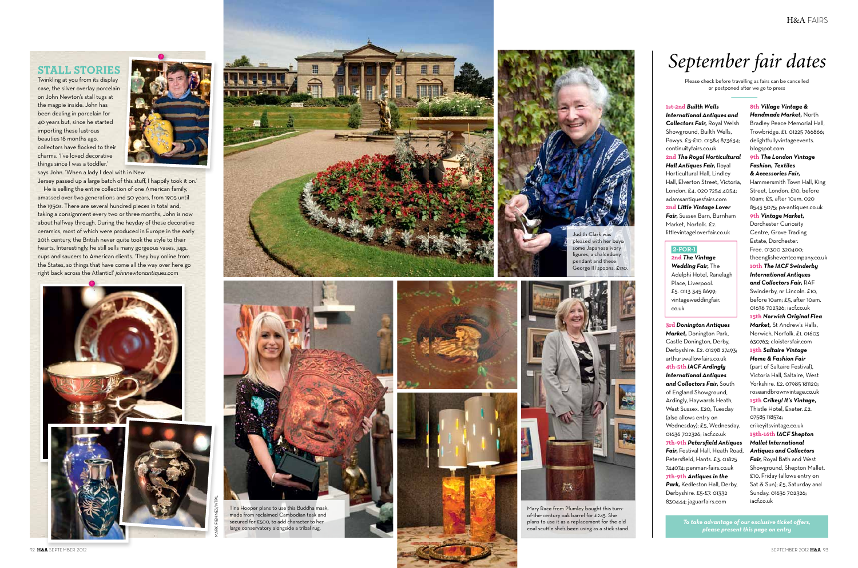### **STALL STORIES**

Twinkling at you from its display case, the silver overlay porcelain on John Newton's stall tugs at the magpie inside. John has been dealing in porcelain for 40 years but, since he started importing these lustrous beauties 18 months ago, collectors have flocked to their charms. 'I've loved decorative things since I was a toddler,"



says John. 'When a lady I deal with in New

Jersey passed up a large batch of this stuff, I happily took it on.' He is selling the entire collection of one American family, amassed over two generations and 50 years, from 1905 until the 1950s. There are several hundred pieces in total and, taking a consignment every two or three months, John is now about halfway through. During the heyday of these decorative ceramics, most of which were produced in Europe in the early 20th century, the British never quite took the style to their hearts. Interestingly, he still sells many gorgeous vases, jugs, cups and saucers to American clients. 'They buy online from the States, so things that have come all the way over here go right back across the Atlantic!' johnnewtonantiques.com





marricoper plans to doe this Buddin mask,<br>made from reclaimed Cambodian teak and<br>secured for £500, to add character to her large conservatory alongside a tribal rug.







pleased with her buys: .<br>some Japanese ivory figures, a chalcedony pendant and these George III spoons, £130.



Mary Race from Plumley bought this turnof-the-century oak barrel for £245. She plans to use it as a replacement for the old coal scuttle she's been using as a stick stand.

# September fair dates

Please check before travelling as fairs can be cancelled or postponed after we go to press

1st-2nd Builth Wells **International Antiques and Collectors Fair, Royal Welsh** Showground, Builth Wells, Powys. £5-£10. 01584 873634; continuityfairs.co.uk 2nd The Royal Horticultural Hall Antiques Fair, Royal Horticultural Hall, Lindley Hall, Elverton Street, Victoria. London. £4. 020 7254 4054: adamsantiquesfairs.com 2nd Little Vintage Lover Fair, Sussex Barn, Burnham Market, Norfolk. £2. littlevintageloverfair.co.uk

#### $2$ -FOR-1

2nd The Vintage Wedding Fair. The Adelphi Hotel, Ranelagh Place, Liverpool. £5. 0113 345 8699; vintageweddingfair. co.uk

3rd Donington Antiques Market, Donington Park, Castle Donington, Derby, Derbyshire. £2. 01298 27493; arthurswallowfairs.co.uk 4th-5th IACF Ardingly **International Antiques** and Collectors Fair, South of England Showground, Ardingly, Haywards Heath, West Sussex, £20. Tuesday (also allows entry on Wednesday); £5, Wednesday. 01636 702326; iacf.co.uk 7th-9th Petersfield Antiques Fair. Festival Hall. Heath Road. Petersfield, Hants. £3. 01825 744074; penman-fairs.co.uk 7th-9th Antiques in the Park. Kedleston Hall. Derby. Derbyshire. £5-£7. 01332 830444; jaguarfairs.com

8th Village Vintage & Handmade Market, North Bradley Peace Memorial Hall. Trowbridge. £1. 01225 766866; delightfullyvintageevents. blogspot.com 9th The London Vintage **Fashion, Textiles** & Accessories Fair, Hammersmith Town Hall, King Street, London. £10, before 10am: £5. after 10am, 020 8543 5075; pa-antiques.co.uk 9th Vintage Market, Dorchester Curiosity Centre, Grove Trading Estate, Dorchester. Free. 01300 320400; theenglisheventcompany.co.uk 10th The IACF Swinderby **International Antiques** and Collectors Fair, RAF Swinderby, nr Lincoln. £10, before 10am: £5, after 10am. 01636 702326; iacf.co.uk 15th Norwich Original Flea Market, St Andrew's Halls, Norwich, Norfolk, £1, 01603 630763; cloistersfair.com **15th Saltaire Vintage** Home & Fashion Fair (part of Saltaire Festival), Victoria Hall, Saltaire, West Yorkshire, £2, 07985 181120: roseandbrownvintage.co.uk 15th Crikey! It's Vintage, Thistle Hotel, Exeter, £2. 07585 118574: crikeyitsvintage.co.uk 15th-16th IACF Shepton **Mallet International Antiques and Collectors** Fair, Royal Bath and West Showground, Shepton Mallet. £10, Friday (allows entry on Sat & Sun); £5, Saturday and Sunday. 01636 702326; iacf.co.uk

To take advantage of our exclusive ticket offers,<br>please present this page on entry